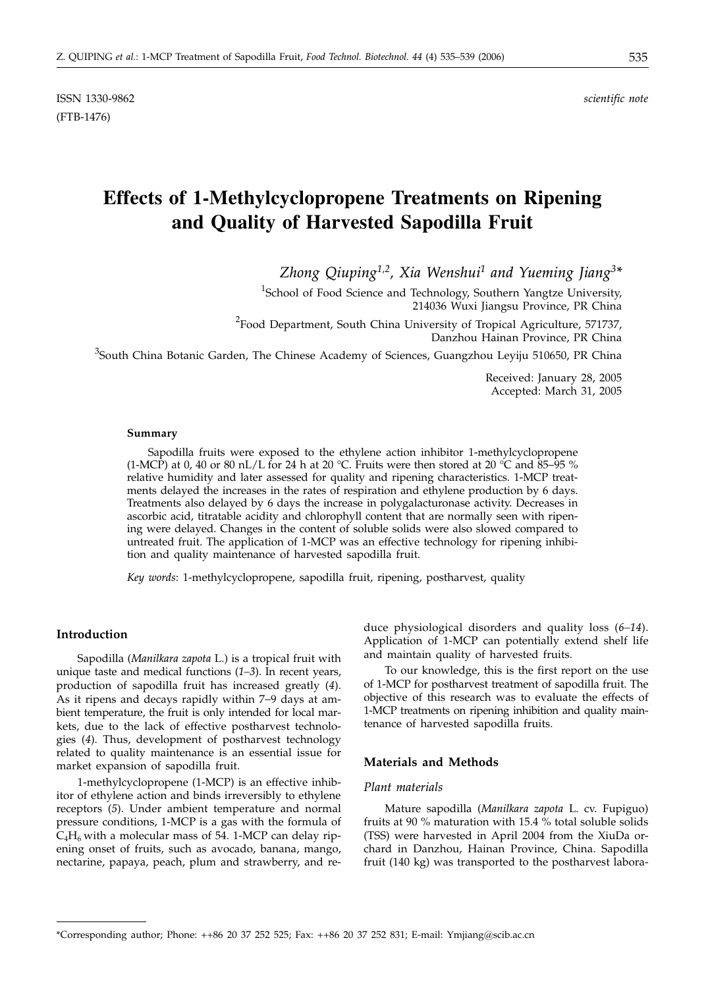(FTB-1476)

# **Effects of 1-Methylcyclopropene Treatments on Ripening and Quality of Harvested Sapodilla Fruit**

*Zhong Qiuping1,2, Xia Wenshui1 and Yueming Jiang3\**

<sup>1</sup>School of Food Science and Technology, Southern Yangtze University, 214036 Wuxi Jiangsu Province, PR China

<sup>2</sup> Food Department, South China University of Tropical Agriculture, 571737, Danzhou Hainan Province, PR China

<sup>3</sup>South China Botanic Garden, The Chinese Academy of Sciences, Guangzhou Leyiju 510650, PR China

Received: January 28, 2005 Accepted: March 31, 2005

#### **Summary**

Sapodilla fruits were exposed to the ethylene action inhibitor 1-methylcyclopropene (1-MCP) at 0, 40 or 80 nL/L for 24 h at 20 °C. Fruits were then stored at 20 °C and 85–95 % relative humidity and later assessed for quality and ripening characteristics. 1-MCP treatments delayed the increases in the rates of respiration and ethylene production by 6 days. Treatments also delayed by 6 days the increase in polygalacturonase activity. Decreases in ascorbic acid, titratable acidity and chlorophyll content that are normally seen with ripening were delayed. Changes in the content of soluble solids were also slowed compared to untreated fruit. The application of 1-MCP was an effective technology for ripening inhibition and quality maintenance of harvested sapodilla fruit.

*Key words*: 1-methylcyclopropene, sapodilla fruit, ripening, postharvest, quality

# **Introduction**

Sapodilla (*Manilkara zapota* L.) is a tropical fruit with unique taste and medical functions (*1–3*). In recent years, production of sapodilla fruit has increased greatly (*4*). As it ripens and decays rapidly within 7−9 days at ambient temperature, the fruit is only intended for local markets, due to the lack of effective postharvest technologies (*4*). Thus, development of postharvest technology related to quality maintenance is an essential issue for market expansion of sapodilla fruit.

1-methylcyclopropene (1-MCP) is an effective inhibitor of ethylene action and binds irreversibly to ethylene receptors (*5*). Under ambient temperature and normal pressure conditions, 1-MCP is a gas with the formula of  $C_4H_6$  with a molecular mass of 54. 1-MCP can delay ripening onset of fruits, such as avocado, banana, mango, nectarine, papaya, peach, plum and strawberry, and reduce physiological disorders and quality loss (*6–14*). Application of 1-MCP can potentially extend shelf life and maintain quality of harvested fruits.

To our knowledge, this is the first report on the use of 1-MCP for postharvest treatment of sapodilla fruit. The objective of this research was to evaluate the effects of 1-MCP treatments on ripening inhibition and quality maintenance of harvested sapodilla fruits.

# **Materials and Methods**

# *Plant materials*

Mature sapodilla (*Manilkara zapota* L. cv. Fupiguo) fruits at 90 % maturation with 15.4 % total soluble solids (TSS) were harvested in April 2004 from the XiuDa orchard in Danzhou, Hainan Province, China. Sapodilla fruit (140 kg) was transported to the postharvest labora-

<sup>\*</sup>Corresponding author; Phone: ++86 20 37 252 525; Fax: ++86 20 37 252 831; E-mail: Ymjiang*@*scib.ac.cn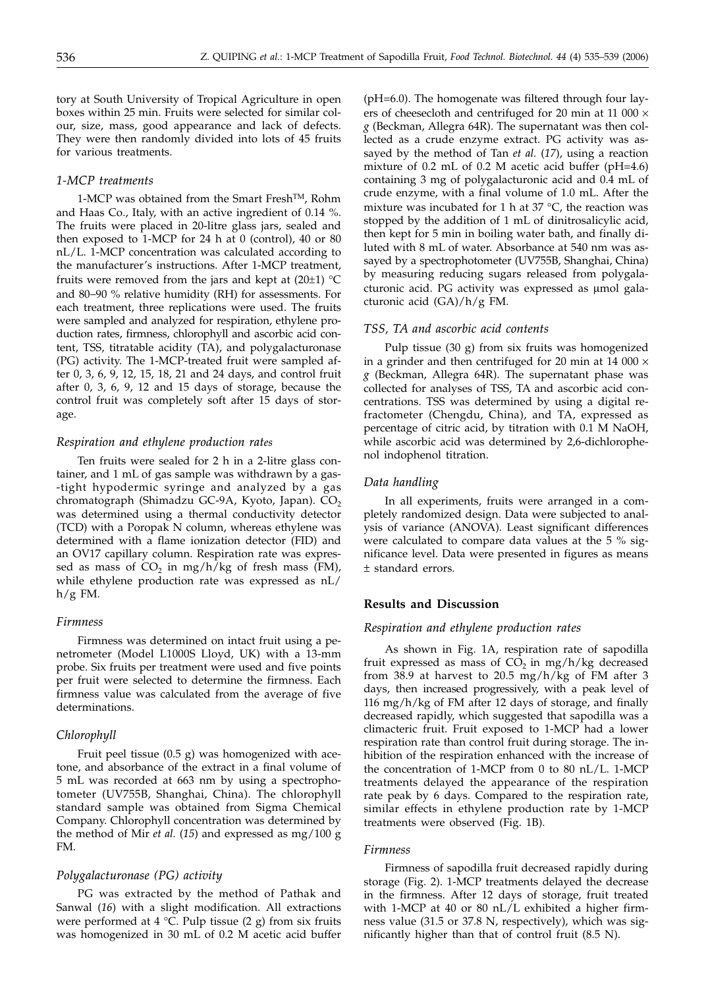tory at South University of Tropical Agriculture in open boxes within 25 min. Fruits were selected for similar colour, size, mass, good appearance and lack of defects. They were then randomly divided into lots of 45 fruits for various treatments.

# *1-MCP treatments*

1-MCP was obtained from the Smart Fresh<sup>TM</sup>, Rohm and Haas Co., Italy, with an active ingredient of 0.14 %. The fruits were placed in 20-litre glass jars, sealed and then exposed to 1-MCP for 24 h at 0 (control), 40 or 80 nL/L. 1-MCP concentration was calculated according to the manufacturer's instructions. After 1-MCP treatment, fruits were removed from the jars and kept at  $(20\pm 1)$  °C and 80−90 % relative humidity (RH) for assessments. For each treatment, three replications were used. The fruits were sampled and analyzed for respiration, ethylene production rates, firmness, chlorophyll and ascorbic acid content, TSS, titratable acidity (TA), and polygalacturonase (PG) activity. The 1-MCP-treated fruit were sampled after 0, 3, 6, 9, 12, 15, 18, 21 and 24 days, and control fruit after 0, 3, 6, 9, 12 and 15 days of storage, because the control fruit was completely soft after 15 days of storage.

# *Respiration and ethylene production rates*

Ten fruits were sealed for 2 h in a 2-litre glass container, and 1 mL of gas sample was withdrawn by a gas- -tight hypodermic syringe and analyzed by a gas chromatograph (Shimadzu GC-9A, Kyoto, Japan). CO<sub>2</sub> was determined using a thermal conductivity detector (TCD) with a Poropak N column, whereas ethylene was determined with a flame ionization detector (FID) and an OV17 capillary column. Respiration rate was expressed as mass of  $CO<sub>2</sub>$  in mg/h/kg of fresh mass (FM), while ethylene production rate was expressed as nL/  $h/g$  FM.

# *Firmness*

Firmness was determined on intact fruit using a penetrometer (Model L1000S Lloyd, UK) with a 13-mm probe. Six fruits per treatment were used and five points per fruit were selected to determine the firmness. Each firmness value was calculated from the average of five determinations.

## *Chlorophyll*

Fruit peel tissue (0.5 g) was homogenized with acetone, and absorbance of the extract in a final volume of 5 mL was recorded at 663 nm by using a spectrophotometer (UV755B, Shanghai, China). The chlorophyll standard sample was obtained from Sigma Chemical Company. Chlorophyll concentration was determined by the method of Mir *et al.* (*15*) and expressed as mg/100 g FM.

# *Polygalacturonase (PG) activity*

PG was extracted by the method of Pathak and Sanwal (*16*) with a slight modification. All extractions were performed at 4  $°C$ . Pulp tissue (2 g) from six fruits was homogenized in 30 mL of 0.2 M acetic acid buffer

(pH=6.0). The homogenate was filtered through four layers of cheesecloth and centrifuged for 20 min at 11 000 × *g* (Beckman, Allegra 64R). The supernatant was then collected as a crude enzyme extract. PG activity was assayed by the method of Tan *et al.* (*17*), using a reaction mixture of 0.2 mL of 0.2 M acetic acid buffer (pH=4.6) containing 3 mg of polygalacturonic acid and 0.4 mL of crude enzyme, with a final volume of 1.0 mL. After the mixture was incubated for 1 h at 37 °C, the reaction was stopped by the addition of 1 mL of dinitrosalicylic acid, then kept for 5 min in boiling water bath, and finally diluted with 8 mL of water. Absorbance at 540 nm was assayed by a spectrophotometer (UV755B, Shanghai, China) by measuring reducing sugars released from polygalacturonic acid. PG activity was expressed as µmol galacturonic acid (GA)/h/g FM.

## *TSS, TA and ascorbic acid contents*

Pulp tissue (30 g) from six fruits was homogenized in a grinder and then centrifuged for 20 min at 14 000  $\times$ *g* (Beckman, Allegra 64R). The supernatant phase was collected for analyses of TSS, TA and ascorbic acid concentrations. TSS was determined by using a digital refractometer (Chengdu, China), and TA, expressed as percentage of citric acid, by titration with 0.1 M NaOH, while ascorbic acid was determined by 2,6-dichlorophenol indophenol titration.

# *Data handling*

In all experiments, fruits were arranged in a completely randomized design. Data were subjected to analysis of variance (ANOVA). Least significant differences were calculated to compare data values at the 5 % significance level. Data were presented in figures as means ± standard errors.

# **Results and Discussion**

# *Respiration and ethylene production rates*

As shown in Fig. 1A, respiration rate of sapodilla fruit expressed as mass of  $CO<sub>2</sub>$  in mg/h/kg decreased from 38.9 at harvest to 20.5 mg/h/kg of FM after 3 days, then increased progressively, with a peak level of 116 mg/h/kg of FM after 12 days of storage, and finally decreased rapidly, which suggested that sapodilla was a climacteric fruit. Fruit exposed to 1-MCP had a lower respiration rate than control fruit during storage. The inhibition of the respiration enhanced with the increase of the concentration of 1-MCP from 0 to 80 nL/L. 1-MCP treatments delayed the appearance of the respiration rate peak by 6 days. Compared to the respiration rate, similar effects in ethylene production rate by 1-MCP treatments were observed (Fig. 1B).

#### *Firmness*

Firmness of sapodilla fruit decreased rapidly during storage (Fig. 2). 1-MCP treatments delayed the decrease in the firmness. After 12 days of storage, fruit treated with 1-MCP at 40 or 80 nL/L exhibited a higher firmness value (31.5 or 37.8 N, respectively), which was significantly higher than that of control fruit (8.5 N).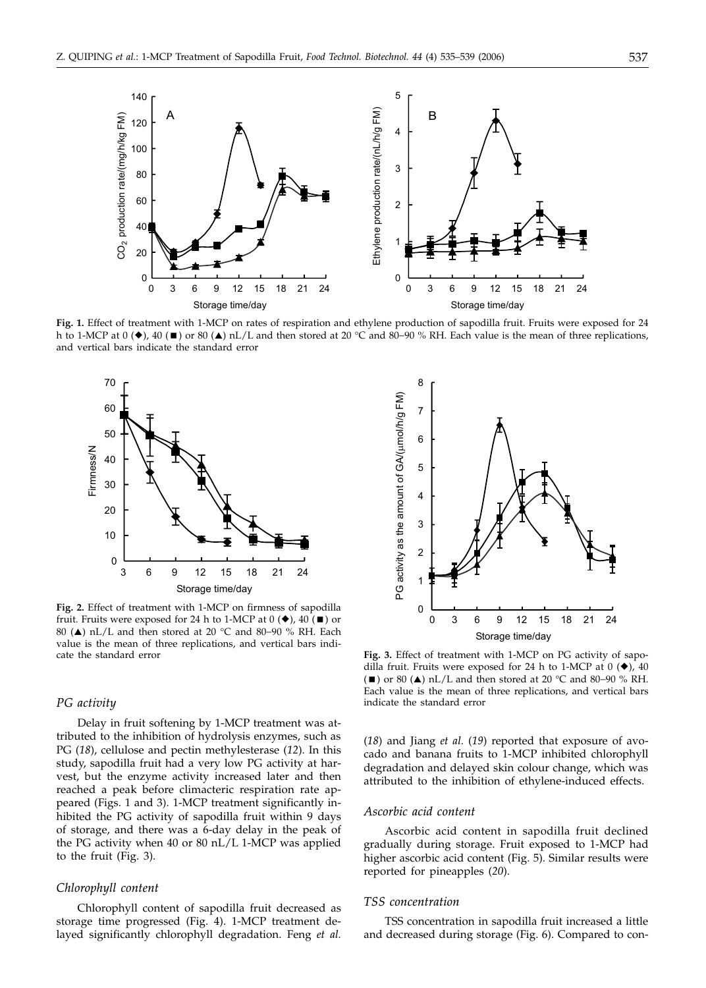

**Fig. 1.** Effect of treatment with 1-MCP on rates of respiration and ethylene production of sapodilla fruit. Fruits were exposed for 24 h to 1-MCP at 0 ( $\blacklozenge$ ), 40 (■) or 80 ( $\blacktriangle$ ) nL/L and then stored at 20 °C and 80–90 % RH. Each value is the mean of three replications, and vertical bars indicate the standard error



**Fig. 2.** Effect of treatment with 1-MCP on firmness of sapodilla fruit. Fruits were exposed for 24 h to 1-MCP at  $0 \left( \blacklozenge \right)$ ,  $40 \left( \blacksquare \right)$  or 80 (▲) nL/L and then stored at 20 °C and 80–90 % RH. Each value is the mean of three replications, and vertical bars indicate the standard error

### *PG activity*

Delay in fruit softening by 1-MCP treatment was attributed to the inhibition of hydrolysis enzymes, such as PG (*18*), cellulose and pectin methylesterase (*12*). In this study, sapodilla fruit had a very low PG activity at harvest, but the enzyme activity increased later and then reached a peak before climacteric respiration rate appeared (Figs. 1 and 3). 1-MCP treatment significantly inhibited the PG activity of sapodilla fruit within 9 days of storage, and there was a 6-day delay in the peak of the PG activity when 40 or 80 nL/L 1-MCP was applied to the fruit (Fig. 3).

#### *Chlorophyll content*

Chlorophyll content of sapodilla fruit decreased as storage time progressed (Fig. 4). 1-MCP treatment delayed significantly chlorophyll degradation. Feng *et al.*



**Fig. 3.** Effect of treatment with 1-MCP on PG activity of sapodilla fruit. Fruits were exposed for 24 h to 1-MCP at  $0$  ( $\blacklozenge$ ), 40 (■) or 80 (▲) nL/L and then stored at 20 °C and 80–90 % RH. Each value is the mean of three replications, and vertical bars indicate the standard error

(*18*) and Jiang *et al.* (*19*) reported that exposure of avocado and banana fruits to 1-MCP inhibited chlorophyll degradation and delayed skin colour change, which was attributed to the inhibition of ethylene-induced effects.

# *Ascorbic acid content*

Ascorbic acid content in sapodilla fruit declined gradually during storage. Fruit exposed to 1-MCP had higher ascorbic acid content (Fig. 5). Similar results were reported for pineapples (*20*).

### *TSS concentration*

TSS concentration in sapodilla fruit increased a little and decreased during storage (Fig. 6). Compared to con-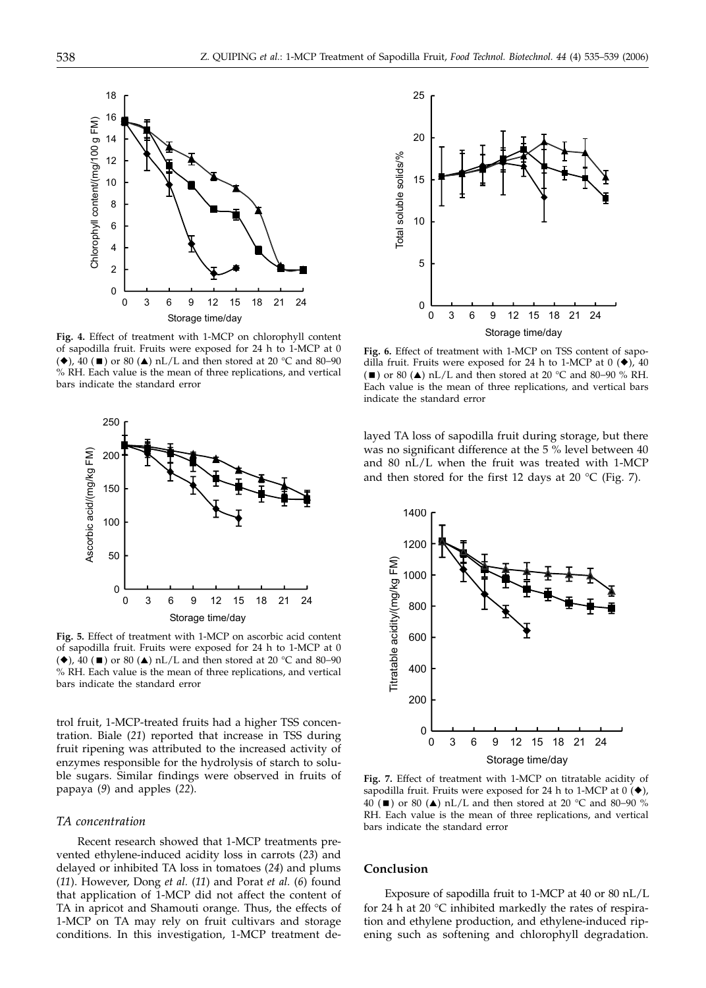

**Fig. 4.** Effect of treatment with 1-MCP on chlorophyll content of sapodilla fruit. Fruits were exposed for 24 h to 1-MCP at 0 (◆), 40 (■) or 80 (▲) nL/L and then stored at 20 °C and 80–90 % RH. Each value is the mean of three replications, and vertical bars indicate the standard error



**Fig. 5.** Effect of treatment with 1-MCP on ascorbic acid content of sapodilla fruit. Fruits were exposed for 24 h to 1-MCP at 0 (◆), 40 (■) or 80 (▲) nL/L and then stored at 20 °C and 80–90 % RH. Each value is the mean of three replications, and vertical bars indicate the standard error

trol fruit, 1-MCP-treated fruits had a higher TSS concentration. Biale (*21*) reported that increase in TSS during fruit ripening was attributed to the increased activity of enzymes responsible for the hydrolysis of starch to soluble sugars. Similar findings were observed in fruits of papaya (*9*) and apples (*22*).

# *TA concentration*

Recent research showed that 1-MCP treatments prevented ethylene-induced acidity loss in carrots (*23*) and delayed or inhibited TA loss in tomatoes (*24*) and plums (*11*). However, Dong *et al.* (*11*) and Porat *et al.* (*6*) found that application of 1-MCP did not affect the content of TA in apricot and Shamouti orange. Thus, the effects of 1-MCP on TA may rely on fruit cultivars and storage conditions. In this investigation, 1-MCP treatment de-



**Fig. 6.** Effect of treatment with 1-MCP on TSS content of sapodilla fruit. Fruits were exposed for 24 h to 1-MCP at  $0$  ( $\blacklozenge$ ), 40 (■) or 80 (▲) nL/L and then stored at 20 °C and 80–90 % RH. Each value is the mean of three replications, and vertical bars indicate the standard error

layed TA loss of sapodilla fruit during storage, but there was no significant difference at the 5 % level between 40 and 80 nL/L when the fruit was treated with 1-MCP and then stored for the first 12 days at 20  $^{\circ}$ C (Fig. 7).



**Fig. 7.** Effect of treatment with 1-MCP on titratable acidity of sapodilla fruit. Fruits were exposed for 24 h to 1-MCP at  $0(\blacklozenge)$ , 40 (■) or 80 (▲) nL/L and then stored at 20 °C and 80–90 % RH. Each value is the mean of three replications, and vertical bars indicate the standard error

# **Conclusion**

Exposure of sapodilla fruit to 1-MCP at 40 or 80 nL/L for 24 h at 20 °C inhibited markedly the rates of respiration and ethylene production, and ethylene-induced ripening such as softening and chlorophyll degradation.